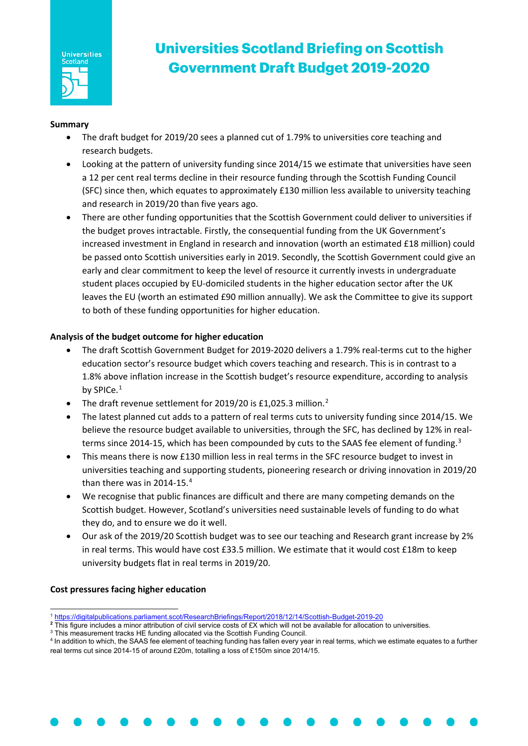

# **Universities Scotland Briefing on Scottish Government Draft Budget 2019-2020**

### **Summary**

- The draft budget for 2019/20 sees a planned cut of 1.79% to universities core teaching and research budgets.
- Looking at the pattern of university funding since 2014/15 we estimate that universities have seen a 12 per cent real terms decline in their resource funding through the Scottish Funding Council (SFC) since then, which equates to approximately £130 million less available to university teaching and research in 2019/20 than five years ago.
- There are other funding opportunities that the Scottish Government could deliver to universities if the budget proves intractable. Firstly, the consequential funding from the UK Government's increased investment in England in research and innovation (worth an estimated £18 million) could be passed onto Scottish universities early in 2019. Secondly, the Scottish Government could give an early and clear commitment to keep the level of resource it currently invests in undergraduate student places occupied by EU-domiciled students in the higher education sector after the UK leaves the EU (worth an estimated £90 million annually). We ask the Committee to give its support to both of these funding opportunities for higher education.

## **Analysis of the budget outcome for higher education**

- The draft Scottish Government Budget for 2019-2020 delivers a 1.79% real-terms cut to the higher education sector's resource budget which covers teaching and research. This is in contrast to a 1.8% above inflation increase in the Scottish budget's resource expenditure, according to analysis by SPICe.<sup>[1](#page-0-0)</sup>
- The draft revenue settlement for [2](#page-0-1)019/20 is £1,025.3 million.<sup>2</sup>
- The latest planned cut adds to a pattern of real terms cuts to university funding since 2014/15. We believe the resource budget available to universities, through the SFC, has declined by 12% in real-terms since 2014-15, which has been compounded by cuts to the SAAS fee element of funding.<sup>[3](#page-0-2)</sup>
- This means there is now £130 million less in real terms in the SFC resource budget to invest in universities teaching and supporting students, pioneering research or driving innovation in 2019/20 than there was in 201[4](#page-0-3)-15.<sup>4</sup>
- We recognise that public finances are difficult and there are many competing demands on the Scottish budget. However, Scotland's universities need sustainable levels of funding to do what they do, and to ensure we do it well.
- Our ask of the 2019/20 Scottish budget was to see our teaching and Research grant increase by 2% in real terms. This would have cost £33.5 million. We estimate that it would cost £18m to keep university budgets flat in real terms in 2019/20.

### **Cost pressures facing higher education**

<span id="page-0-1"></span><span id="page-0-0"></span><sup>2</sup> This figure includes a minor attribution of civil service costs of £X which will not be available for allocation to universities.

l <sup>1</sup> <https://digitalpublications.parliament.scot/ResearchBriefings/Report/2018/12/14/Scottish-Budget-2019-20>

<span id="page-0-2"></span><sup>&</sup>lt;sup>3</sup> This measurement tracks HE funding allocated via the Scottish Funding Council.

<span id="page-0-3"></span><sup>4</sup> In addition to which, the SAAS fee element of teaching funding has fallen every year in real terms, which we estimate equates to a further real terms cut since 2014-15 of around £20m, totalling a loss of £150m since 2014/15.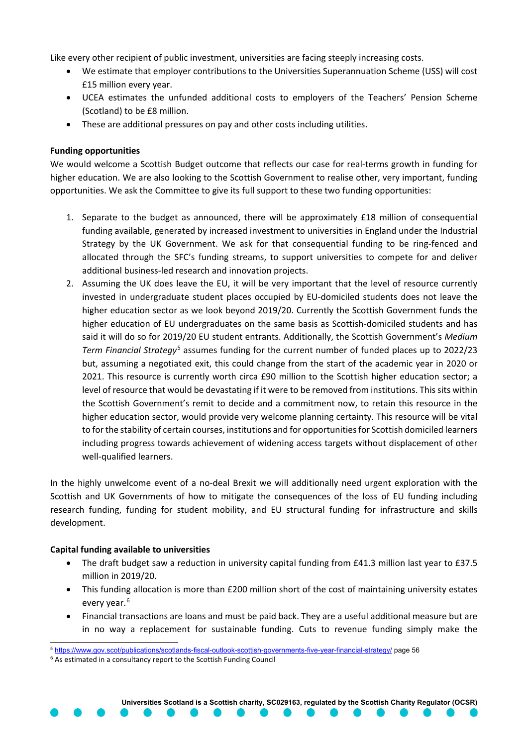Like every other recipient of public investment, universities are facing steeply increasing costs.

- We estimate that employer contributions to the Universities Superannuation Scheme (USS) will cost £15 million every year.
- UCEA estimates the unfunded additional costs to employers of the Teachers' Pension Scheme (Scotland) to be £8 million.
- These are additional pressures on pay and other costs including utilities.

### **Funding opportunities**

We would welcome a Scottish Budget outcome that reflects our case for real-terms growth in funding for higher education. We are also looking to the Scottish Government to realise other, very important, funding opportunities. We ask the Committee to give its full support to these two funding opportunities:

- 1. Separate to the budget as announced, there will be approximately £18 million of consequential funding available, generated by increased investment to universities in England under the Industrial Strategy by the UK Government. We ask for that consequential funding to be ring-fenced and allocated through the SFC's funding streams, to support universities to compete for and deliver additional business-led research and innovation projects.
- 2. Assuming the UK does leave the EU, it will be very important that the level of resource currently invested in undergraduate student places occupied by EU-domiciled students does not leave the higher education sector as we look beyond 2019/20. Currently the Scottish Government funds the higher education of EU undergraduates on the same basis as Scottish-domiciled students and has said it will do so for 2019/20 EU student entrants. Additionally, the Scottish Government's *Medium Term Financial Strategy*[5](#page-1-0) assumes funding for the current number of funded places up to 2022/23 but, assuming a negotiated exit, this could change from the start of the academic year in 2020 or 2021. This resource is currently worth circa £90 million to the Scottish higher education sector; a level of resource that would be devastating if it were to be removed from institutions. This sits within the Scottish Government's remit to decide and a commitment now, to retain this resource in the higher education sector, would provide very welcome planning certainty. This resource will be vital to for the stability of certain courses, institutions and for opportunities for Scottish domiciled learners including progress towards achievement of widening access targets without displacement of other well-qualified learners.

In the highly unwelcome event of a no-deal Brexit we will additionally need urgent exploration with the Scottish and UK Governments of how to mitigate the consequences of the loss of EU funding including research funding, funding for student mobility, and EU structural funding for infrastructure and skills development.

### **Capital funding available to universities**

- The draft budget saw a reduction in university capital funding from £41.3 million last year to £37.5 million in 2019/20.
- This funding allocation is more than £200 million short of the cost of maintaining university estates every year. [6](#page-1-1)
- Financial transactions are loans and must be paid back. They are a useful additional measure but are in no way a replacement for sustainable funding. Cuts to revenue funding simply make the

**Universities Scotland is a Scottish charity, SC029163, regulated by the Scottish Charity Regulator (OCSR)**

<sup>1</sup> <sup>5</sup> <https://www.gov.scot/publications/scotlands-fiscal-outlook-scottish-governments-five-year-financial-strategy/> page 56

<span id="page-1-1"></span><span id="page-1-0"></span><sup>6</sup> As estimated in a consultancy report to the Scottish Funding Council